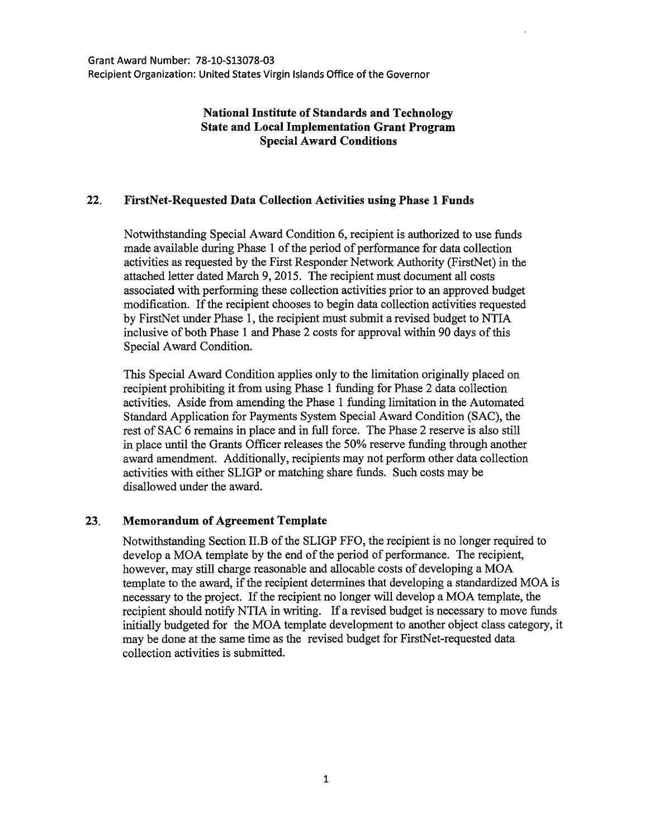## National Institute of Standards and Technology State and Local Implementation Grant Program Special Award Conditions

## 22. FirstNet-Requested Data Collection Activities using Phase 1 Funds

Notwithstanding Special Award Condition 6, recipient is authorized to use funds made available during Phase 1 of the period of performance for data collection activities as requested by the First Responder Network Authority (FirstNet) in the attached letter dated March 9, 2015. The recipient must document all costs associated with performing these collection activities prior to an approved budget modification. If the recipient chooses to begin data collection activities requested by FirstNet under Phase 1, the recipient must submit a revised budget to NTIA inclusive of both Phase 1 and Phase 2 costs for approval within 90 days of this Special Award Condition.

This Special Award Condition applies only to the limitation originally placed on recipient prohibiting it from using Phase 1 funding for Phase 2 data collection activities. Aside from amending the Phase 1 funding limitation in the Automated Standard Application for Payments System Special Award Condition (SAC), the rest of SAC 6 remains in place and in full force. The Phase 2 reserve is also still in place until the Grants Officer releases the 50% reserve funding through another award amendment. Additionally, recipients may not perform other data collection activities with either SLIGP or matching share funds. Such costs may be disallowed under the award.

## 23. Memorandum of Agreement Template

Notwithstanding Section II.B of the SLIGP FFO, the recipient is no longer required to develop a MOA template by the end of the period of performance. The recipient, however, may still charge reasonable and allocable costs of developing a MOA template to the award, if the recipient determines that developing a standardized MOA is necessary to the project. If the recipient no longer will develop a MOA template, the recipient should notify NTIA in writing. If a revised budget is necessary to move funds initially budgeted for the MOA template development to another object class category, it may be done at the same time as the revised budget for FirstNet-requested data collection activities is submitted.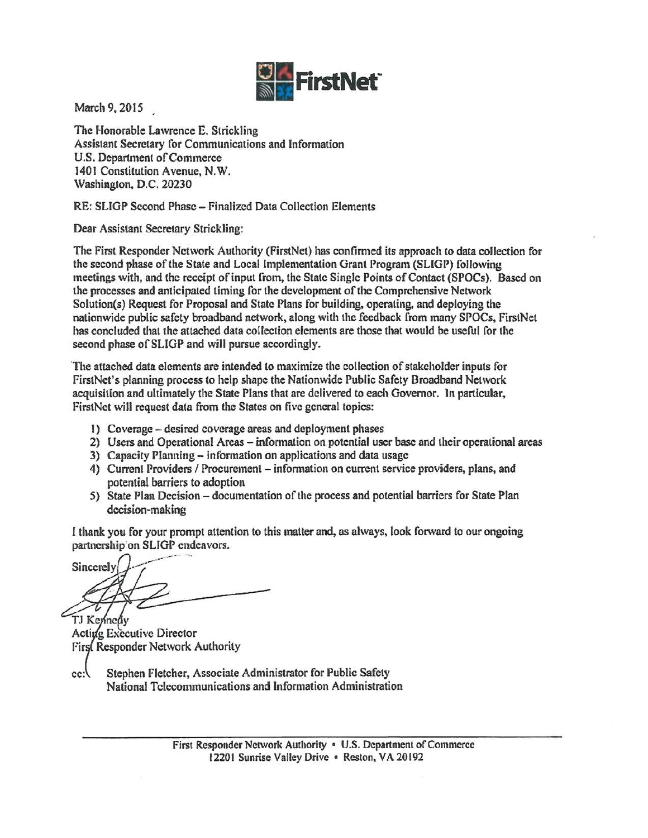

March 9, 2015

The Honorable Lawrence E. Strickling Assistant Secretary for Communications and Information U.S. Department of Commerce 1401 Constitution Avenue, N.W. Washington, D.C. 20230

RE: SLIGP Second Phase - Finalized Data Collection Elements

Dear Assistant Secretary Strickling:

The First Responder Network Authority (FirstNet) has confirmed its approach to data collection for the second phase of the State and Local Implementation Grant Program (SLlGP) following meetings with, and the receipt of input from, the State Single Points of Contact (SPOCs). Based on the processes and anticipated timing for the development of the Comprehensive Network Solution(s) Request for Proposal and State Plans for building, operaling, and deploying the nationwide public safety broadband network, along with the feedback from many SPOCs, FirstNet has concluded that the attached data collection elements are those that would be useful for the second phase of SLIGP and will pursue accordingly.

·The attached data elements are intended to maximize the collection of stakeholder inputs for FirstNct's planning process to help shape the Nationwide Public Safety Broadband Network acquisition and ultimately the State Plans that are delivered to each Governor. In particular, FirstNet will request data from the States on five general topics:

- I) Coverage desired coverage areas and deployment phases
- 2) Users and Operational Areas information on potential user base and their operational areas
- 3) Capacity Planning- information on applications and data usage
- 4) Current Providers / Procurement information on current service providers, plans, and potential barriers to adoption
- 5) State Plan Decision documentation of the process and potential barriers for State Plan decision-making

I thank you for your prompt attention to this matter and, as always, look forward to our ongoing

partnership on SLIGP endeavors.<br>Sincerely TJ Kennedy

Acting Executive Director First Responder Network Authority

Stephen Fletcher, Associate Administrator for Public Safety  $cc$ : National Telecommunications and Information Administration